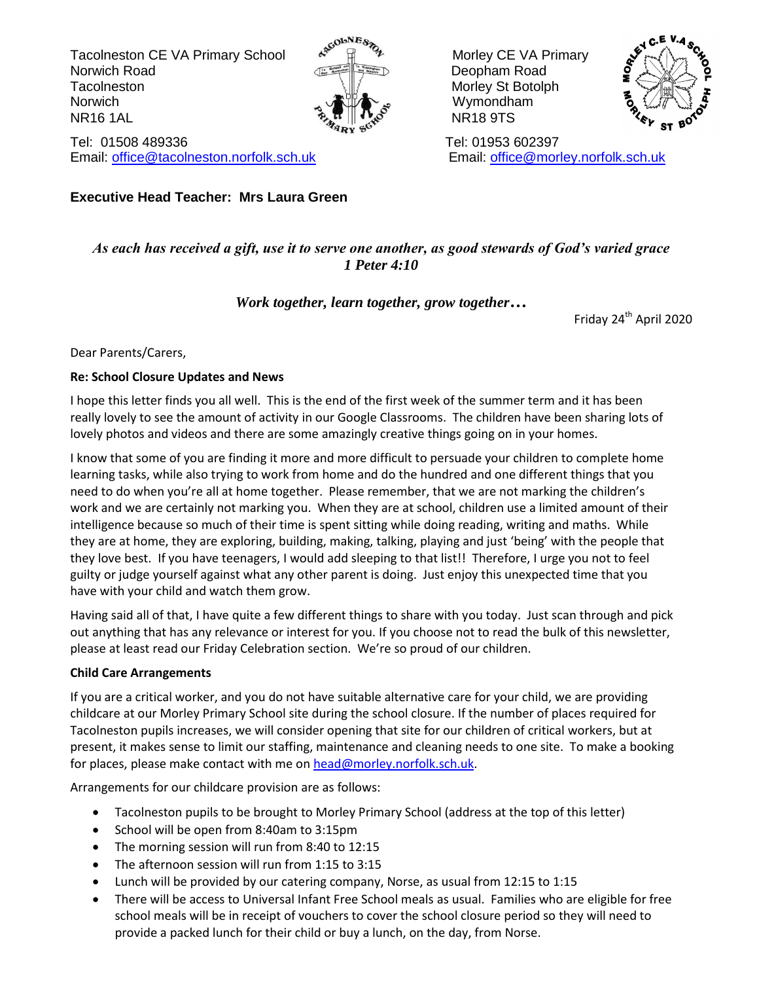Tacolneston CE VA Primary School A<sup>scounce</sup> A<sub>2</sub> Morley CE VA Primary Norwich Road **Deopham Road Deopham Road** Tacolneston **Morris Structure Structure Structure Morley Structure Structure Morley Structure** Norwich Norwich **Wymondham**  $\mathbb{R}$  NR16 1AL NR16 1AL NR16 9TS



Tel: 01508 489336 Tel: 01953 602397 Email: [office@tacolneston.norfolk.sch.uk](mailto:office@tacolneston.norfolk.sch.uk) Email: [office@morley.norfolk.sch.uk](mailto:office@morley.norfolk.sch.uk) 

**Executive Head Teacher: Mrs Laura Green**



#### *As each has received a gift, use it to serve one another, as good stewards of God's varied grace 1 Peter 4:10*

#### *Work together, learn together, grow together…*

Friday 24<sup>th</sup> April 2020

Dear Parents/Carers,

#### **Re: School Closure Updates and News**

I hope this letter finds you all well. This is the end of the first week of the summer term and it has been really lovely to see the amount of activity in our Google Classrooms. The children have been sharing lots of lovely photos and videos and there are some amazingly creative things going on in your homes.

I know that some of you are finding it more and more difficult to persuade your children to complete home learning tasks, while also trying to work from home and do the hundred and one different things that you need to do when you're all at home together. Please remember, that we are not marking the children's work and we are certainly not marking you. When they are at school, children use a limited amount of their intelligence because so much of their time is spent sitting while doing reading, writing and maths. While they are at home, they are exploring, building, making, talking, playing and just 'being' with the people that they love best. If you have teenagers, I would add sleeping to that list!! Therefore, I urge you not to feel guilty or judge yourself against what any other parent is doing. Just enjoy this unexpected time that you have with your child and watch them grow.

Having said all of that, I have quite a few different things to share with you today. Just scan through and pick out anything that has any relevance or interest for you. If you choose not to read the bulk of this newsletter, please at least read our Friday Celebration section. We're so proud of our children.

#### **Child Care Arrangements**

If you are a critical worker, and you do not have suitable alternative care for your child, we are providing childcare at our Morley Primary School site during the school closure. If the number of places required for Tacolneston pupils increases, we will consider opening that site for our children of critical workers, but at present, it makes sense to limit our staffing, maintenance and cleaning needs to one site. To make a booking for places, please make contact with me on [head@morley.norfolk.sch.uk.](mailto:head@morley.norfolk.sch.uk)

Arrangements for our childcare provision are as follows:

- Tacolneston pupils to be brought to Morley Primary School (address at the top of this letter)
- School will be open from 8:40am to 3:15pm
- The morning session will run from 8:40 to 12:15
- The afternoon session will run from 1:15 to 3:15
- Lunch will be provided by our catering company, Norse, as usual from 12:15 to 1:15
- There will be access to Universal Infant Free School meals as usual. Families who are eligible for free school meals will be in receipt of vouchers to cover the school closure period so they will need to provide a packed lunch for their child or buy a lunch, on the day, from Norse.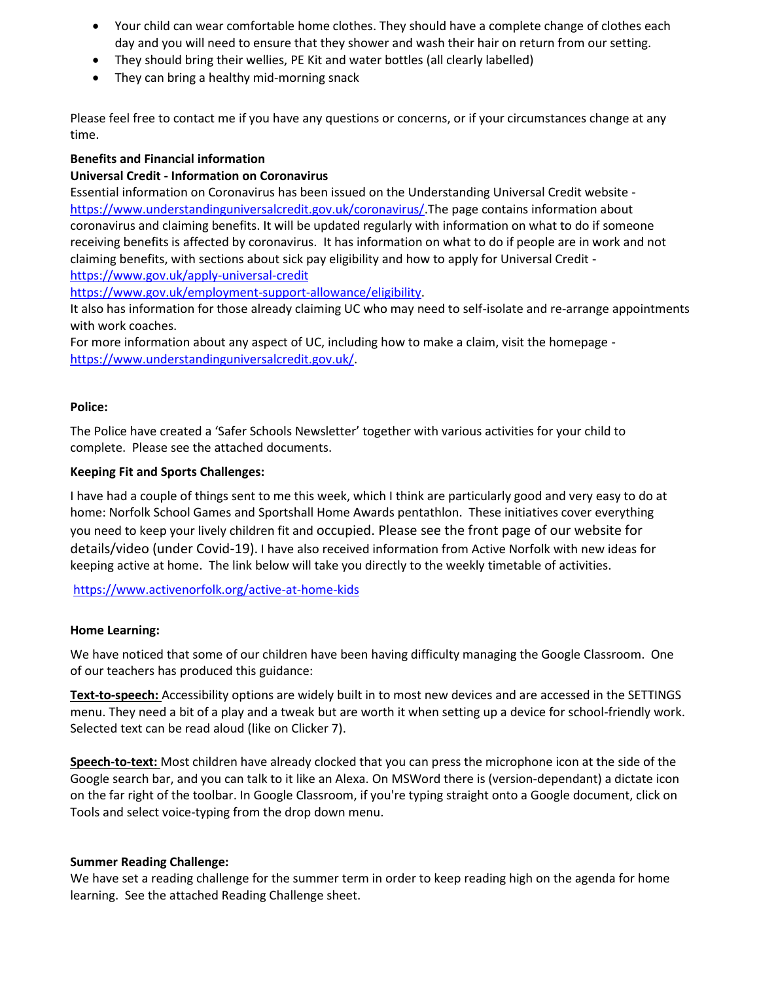- Your child can wear comfortable home clothes. They should have a complete change of clothes each day and you will need to ensure that they shower and wash their hair on return from our setting.
- They should bring their wellies, PE Kit and water bottles (all clearly labelled)
- They can bring a healthy mid-morning snack

Please feel free to contact me if you have any questions or concerns, or if your circumstances change at any time.

#### **Benefits and Financial information**

#### **Universal Credit - Information on Coronavirus**

Essential information on Coronavirus has been issued on the Understanding Universal Credit website [https://www.understandinguniversalcredit.gov.uk/coronavirus/.](https://www.understandinguniversalcredit.gov.uk/coronavirus/)The page contains information about coronavirus and claiming benefits. It will be updated regularly with information on what to do if someone receiving benefits is affected by coronavirus. It has information on what to do if people are in work and not claiming benefits, with sections about sick pay eligibility and how to apply for Universal Credit <https://www.gov.uk/apply-universal-credit>

[https://www.gov.uk/employment-support-allowance/eligibility.](https://www.gov.uk/employment-support-allowance/eligibility)

It also has information for those already claiming UC who may need to self-isolate and re-arrange appointments with work coaches.

For more information about any aspect of UC, including how to make a claim, visit the homepage [https://www.understandinguniversalcredit.gov.uk/.](https://www.understandinguniversalcredit.gov.uk/)

#### **Police:**

The Police have created a 'Safer Schools Newsletter' together with various activities for your child to complete. Please see the attached documents.

#### **Keeping Fit and Sports Challenges:**

I have had a couple of things sent to me this week, which I think are particularly good and very easy to do at home: Norfolk School Games and Sportshall Home Awards pentathlon. These initiatives cover everything you need to keep your lively children fit and occupied. Please see the front page of our website for details/video (under Covid-19). I have also received information from Active Norfolk with new ideas for keeping active at home. The link below will take you directly to the weekly timetable of activities.

<https://www.activenorfolk.org/active-at-home-kids>

#### **Home Learning:**

We have noticed that some of our children have been having difficulty managing the Google Classroom. One of our teachers has produced this guidance:

**Text-to-speech:** Accessibility options are widely built in to most new devices and are accessed in the SETTINGS menu. They need a bit of a play and a tweak but are worth it when setting up a device for school-friendly work. Selected text can be read aloud (like on Clicker 7).

**Speech-to-text:** Most children have already clocked that you can press the microphone icon at the side of the Google search bar, and you can talk to it like an Alexa. On MSWord there is (version-dependant) a dictate icon on the far right of the toolbar. In Google Classroom, if you're typing straight onto a Google document, click on Tools and select voice-typing from the drop down menu.

#### **Summer Reading Challenge:**

We have set a reading challenge for the summer term in order to keep reading high on the agenda for home learning. See the attached Reading Challenge sheet.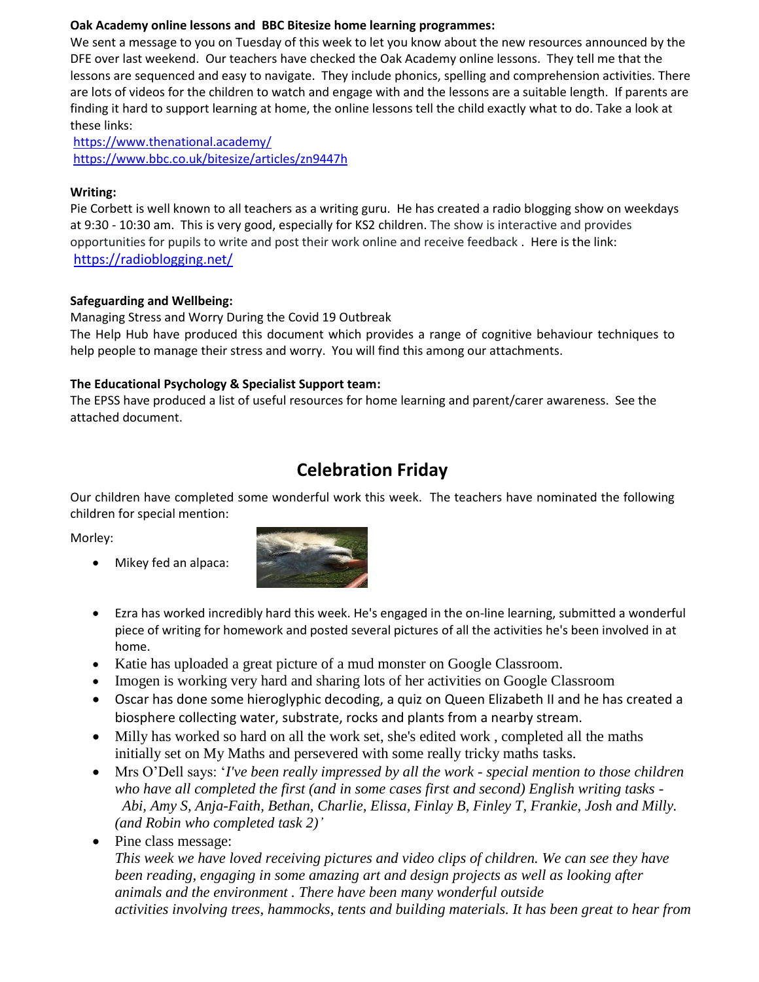#### **Oak Academy online lessons and BBC Bitesize home learning programmes:**

We sent a message to you on Tuesday of this week to let you know about the new resources announced by the DFE over last weekend. Our teachers have checked the Oak Academy online lessons. They tell me that the lessons are sequenced and easy to navigate. They include phonics, spelling and comprehension activities. There are lots of videos for the children to watch and engage with and the lessons are a suitable length. If parents are finding it hard to support learning at home, the online lessons tell the child exactly what to do. Take a look at these links:

<https://www.thenational.academy/> <https://www.bbc.co.uk/bitesize/articles/zn9447h>

#### **Writing:**

Pie Corbett is well known to all teachers as a writing guru. He has created a radio blogging show on weekdays at 9:30 - 10:30 am. This is very good, especially for KS2 children. The show is interactive and provides opportunities for pupils to write and post their work online and receive feedback . Here is the link: <https://radioblogging.net/>

#### **Safeguarding and Wellbeing:**

Managing Stress and Worry During the Covid 19 Outbreak The Help Hub have produced this document which provides a range of cognitive behaviour techniques to help people to manage their stress and worry. You will find this among our attachments.

#### **The Educational Psychology & Specialist Support team:**

The EPSS have produced a list of useful resources for home learning and parent/carer awareness. See the attached document.

## **Celebration Friday**

Our children have completed some wonderful work this week. The teachers have nominated the following children for special mention:

Morley:

Mikey fed an alpaca:



- Ezra has worked incredibly hard this week. He's engaged in the on-line learning, submitted a wonderful piece of writing for homework and posted several pictures of all the activities he's been involved in at home.
- Katie has uploaded a great picture of a mud monster on Google Classroom.
- Imogen is working very hard and sharing lots of her activities on Google Classroom
- Oscar has done some hieroglyphic decoding, a quiz on Queen Elizabeth II and he has created a biosphere collecting water, substrate, rocks and plants from a nearby stream.
- Milly has worked so hard on all the work set, she's edited work , completed all the maths initially set on My Maths and persevered with some really tricky maths tasks.
- Mrs O'Dell says: '*I've been really impressed by all the work - special mention to those children who have all completed the first (and in some cases first and second) English writing tasks - Abi, Amy S, Anja-Faith, Bethan, Charlie, Elissa, Finlay B, Finley T, Frankie, Josh and Milly. (and Robin who completed task 2)'*
- Pine class message:

*This week we have loved receiving pictures and video clips of children. We can see they have been reading, engaging in some amazing art and design projects as well as looking after animals and the environment . There have been many wonderful outside activities involving trees, hammocks, tents and building materials. It has been great to hear from*